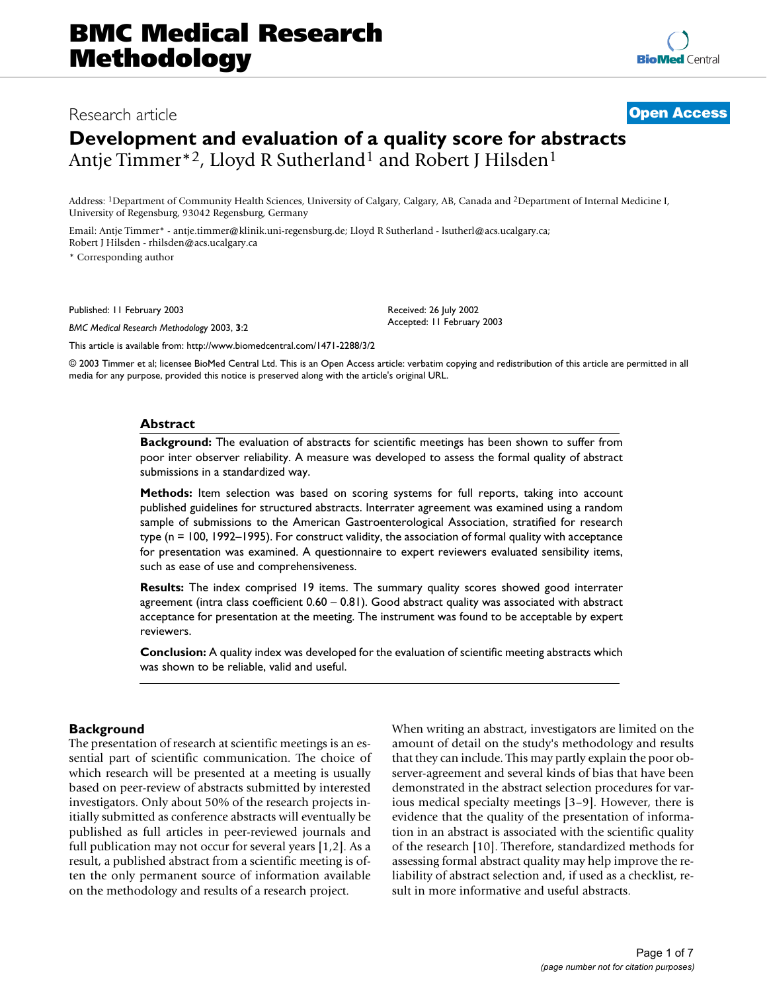# Research article **[Open Access](http://www.biomedcentral.com/info/about/charter/)**

# **Development and evaluation of a quality score for abstracts** Antje Timmer\*<sup>2</sup>, Lloyd R Sutherland<sup>1</sup> and Robert J Hilsden<sup>1</sup>

Address: 1Department of Community Health Sciences, University of Calgary, Calgary, AB, Canada and 2Department of Internal Medicine I, University of Regensburg, 93042 Regensburg, Germany

Email: Antje Timmer\* - antje.timmer@klinik.uni-regensburg.de; Lloyd R Sutherland - lsutherl@acs.ucalgary.ca; Robert J Hilsden - rhilsden@acs.ucalgary.ca

\* Corresponding author

Published: 11 February 2003

*BMC Medical Research Methodology* 2003, **3**:2

[This article is available from: http://www.biomedcentral.com/1471-2288/3/2](http://www.biomedcentral.com/1471-2288/3/2)

© 2003 Timmer et al; licensee BioMed Central Ltd. This is an Open Access article: verbatim copying and redistribution of this article are permitted in all media for any purpose, provided this notice is preserved along with the article's original URL.

Received: 26 July 2002 Accepted: 11 February 2003

#### **Abstract**

**Background:** The evaluation of abstracts for scientific meetings has been shown to suffer from poor inter observer reliability. A measure was developed to assess the formal quality of abstract submissions in a standardized way.

**Methods:** Item selection was based on scoring systems for full reports, taking into account published guidelines for structured abstracts. Interrater agreement was examined using a random sample of submissions to the American Gastroenterological Association, stratified for research type (n = 100, 1992–1995). For construct validity, the association of formal quality with acceptance for presentation was examined. A questionnaire to expert reviewers evaluated sensibility items, such as ease of use and comprehensiveness.

**Results:** The index comprised 19 items. The summary quality scores showed good interrater agreement (intra class coefficient 0.60 – 0.81). Good abstract quality was associated with abstract acceptance for presentation at the meeting. The instrument was found to be acceptable by expert reviewers.

**Conclusion:** A quality index was developed for the evaluation of scientific meeting abstracts which was shown to be reliable, valid and useful.

#### **Background**

The presentation of research at scientific meetings is an essential part of scientific communication. The choice of which research will be presented at a meeting is usually based on peer-review of abstracts submitted by interested investigators. Only about 50% of the research projects initially submitted as conference abstracts will eventually be published as full articles in peer-reviewed journals and full publication may not occur for several years [1,2]. As a result, a published abstract from a scientific meeting is often the only permanent source of information available on the methodology and results of a research project.

When writing an abstract, investigators are limited on the amount of detail on the study's methodology and results that they can include. This may partly explain the poor observer-agreement and several kinds of bias that have been demonstrated in the abstract selection procedures for various medical specialty meetings [3–9]. However, there is evidence that the quality of the presentation of information in an abstract is associated with the scientific quality of the research [10]. Therefore, standardized methods for assessing formal abstract quality may help improve the reliability of abstract selection and, if used as a checklist, result in more informative and useful abstracts.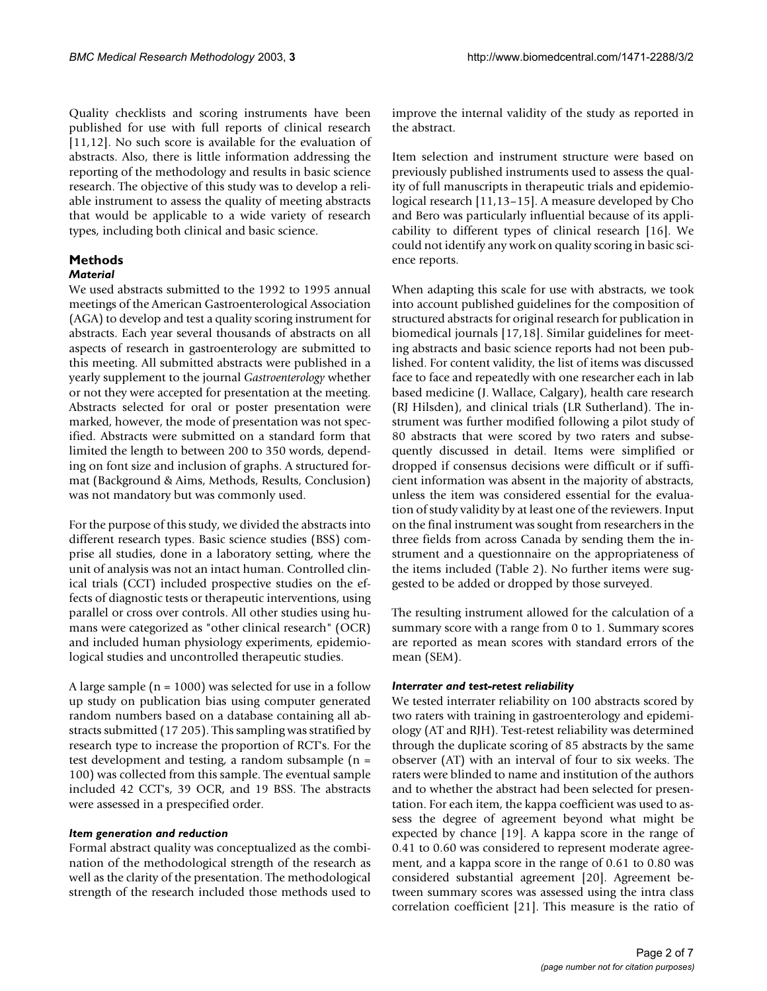Quality checklists and scoring instruments have been published for use with full reports of clinical research [11,12]. No such score is available for the evaluation of abstracts. Also, there is little information addressing the reporting of the methodology and results in basic science research. The objective of this study was to develop a reliable instrument to assess the quality of meeting abstracts that would be applicable to a wide variety of research types, including both clinical and basic science.

# **Methods**

# *Material*

We used abstracts submitted to the 1992 to 1995 annual meetings of the American Gastroenterological Association (AGA) to develop and test a quality scoring instrument for abstracts. Each year several thousands of abstracts on all aspects of research in gastroenterology are submitted to this meeting. All submitted abstracts were published in a yearly supplement to the journal *Gastroenterology* whether or not they were accepted for presentation at the meeting. Abstracts selected for oral or poster presentation were marked, however, the mode of presentation was not specified. Abstracts were submitted on a standard form that limited the length to between 200 to 350 words, depending on font size and inclusion of graphs. A structured format (Background & Aims, Methods, Results, Conclusion) was not mandatory but was commonly used.

For the purpose of this study, we divided the abstracts into different research types. Basic science studies (BSS) comprise all studies, done in a laboratory setting, where the unit of analysis was not an intact human. Controlled clinical trials (CCT) included prospective studies on the effects of diagnostic tests or therapeutic interventions, using parallel or cross over controls. All other studies using humans were categorized as "other clinical research" (OCR) and included human physiology experiments, epidemiological studies and uncontrolled therapeutic studies.

A large sample ( $n = 1000$ ) was selected for use in a follow up study on publication bias using computer generated random numbers based on a database containing all abstracts submitted (17 205). This sampling was stratified by research type to increase the proportion of RCT's. For the test development and testing, a random subsample (n = 100) was collected from this sample. The eventual sample included 42 CCT's, 39 OCR, and 19 BSS. The abstracts were assessed in a prespecified order.

#### *Item generation and reduction*

Formal abstract quality was conceptualized as the combination of the methodological strength of the research as well as the clarity of the presentation. The methodological strength of the research included those methods used to

improve the internal validity of the study as reported in the abstract.

Item selection and instrument structure were based on previously published instruments used to assess the quality of full manuscripts in therapeutic trials and epidemiological research [11,13–15]. A measure developed by Cho and Bero was particularly influential because of its applicability to different types of clinical research [16]. We could not identify any work on quality scoring in basic science reports.

When adapting this scale for use with abstracts, we took into account published guidelines for the composition of structured abstracts for original research for publication in biomedical journals [17,18]. Similar guidelines for meeting abstracts and basic science reports had not been published. For content validity, the list of items was discussed face to face and repeatedly with one researcher each in lab based medicine (J. Wallace, Calgary), health care research (RJ Hilsden), and clinical trials (LR Sutherland). The instrument was further modified following a pilot study of 80 abstracts that were scored by two raters and subsequently discussed in detail. Items were simplified or dropped if consensus decisions were difficult or if sufficient information was absent in the majority of abstracts, unless the item was considered essential for the evaluation of study validity by at least one of the reviewers. Input on the final instrument was sought from researchers in the three fields from across Canada by sending them the instrument and a questionnaire on the appropriateness of the items included (Table [2\)](#page-3-0). No further items were suggested to be added or dropped by those surveyed.

The resulting instrument allowed for the calculation of a summary score with a range from 0 to 1. Summary scores are reported as mean scores with standard errors of the mean (SEM).

#### *Interrater and test-retest reliability*

We tested interrater reliability on 100 abstracts scored by two raters with training in gastroenterology and epidemiology (AT and RJH). Test-retest reliability was determined through the duplicate scoring of 85 abstracts by the same observer (AT) with an interval of four to six weeks. The raters were blinded to name and institution of the authors and to whether the abstract had been selected for presentation. For each item, the kappa coefficient was used to assess the degree of agreement beyond what might be expected by chance [19]. A kappa score in the range of 0.41 to 0.60 was considered to represent moderate agreement, and a kappa score in the range of 0.61 to 0.80 was considered substantial agreement [20]. Agreement between summary scores was assessed using the intra class correlation coefficient [21]. This measure is the ratio of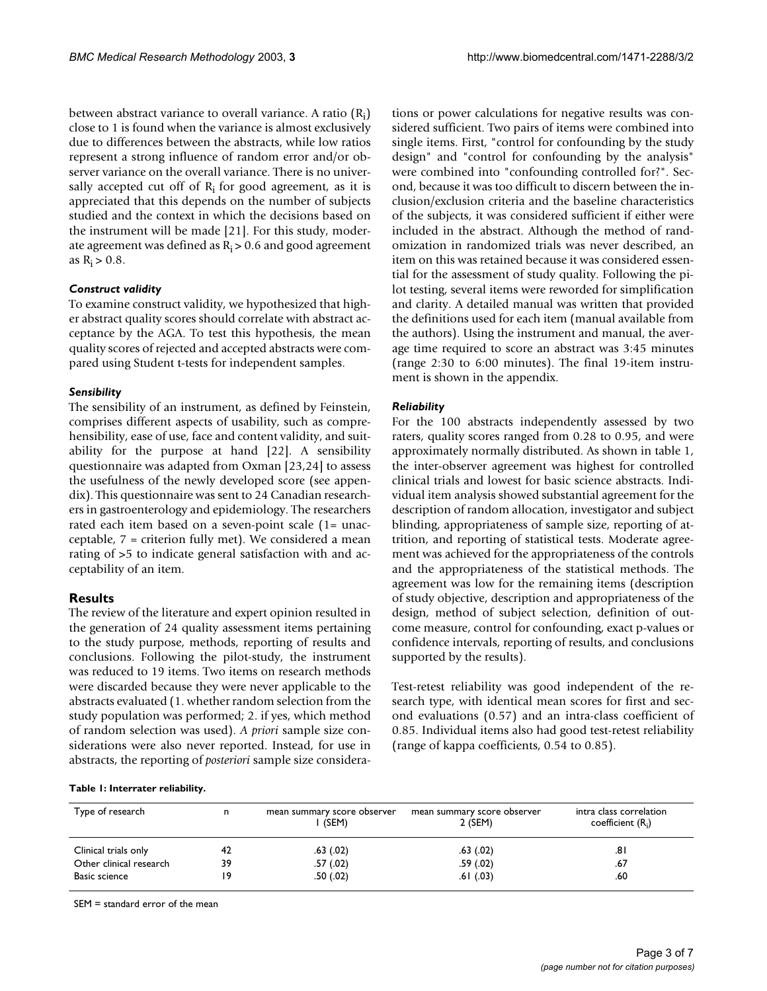between abstract variance to overall variance. A ratio  $(R_{\rm i})$ close to 1 is found when the variance is almost exclusively due to differences between the abstracts, while low ratios represent a strong influence of random error and/or observer variance on the overall variance. There is no universally accepted cut off of  $R_i$  for good agreement, as it is appreciated that this depends on the number of subjects studied and the context in which the decisions based on the instrument will be made [21]. For this study, moderate agreement was defined as  $R_i > 0.6$  and good agreement as  $R_i > 0.8$ .

#### *Construct validity*

To examine construct validity, we hypothesized that higher abstract quality scores should correlate with abstract acceptance by the AGA. To test this hypothesis, the mean quality scores of rejected and accepted abstracts were compared using Student t-tests for independent samples.

#### *Sensibility*

The sensibility of an instrument, as defined by Feinstein, comprises different aspects of usability, such as comprehensibility, ease of use, face and content validity, and suitability for the purpose at hand [22]. A sensibility questionnaire was adapted from Oxman [23,24] to assess the usefulness of the newly developed score (see appendix). This questionnaire was sent to 24 Canadian researchers in gastroenterology and epidemiology. The researchers rated each item based on a seven-point scale (1= unacceptable, 7 = criterion fully met). We considered a mean rating of >5 to indicate general satisfaction with and acceptability of an item.

#### **Results**

The review of the literature and expert opinion resulted in the generation of 24 quality assessment items pertaining to the study purpose, methods, reporting of results and conclusions. Following the pilot-study, the instrument was reduced to 19 items. Two items on research methods were discarded because they were never applicable to the abstracts evaluated (1. whether random selection from the study population was performed; 2. if yes, which method of random selection was used). *A priori* sample size considerations were also never reported. Instead, for use in abstracts, the reporting of *posteriori* sample size considerations or power calculations for negative results was considered sufficient. Two pairs of items were combined into single items. First, "control for confounding by the study design" and "control for confounding by the analysis" were combined into "confounding controlled for?". Second, because it was too difficult to discern between the inclusion/exclusion criteria and the baseline characteristics of the subjects, it was considered sufficient if either were included in the abstract. Although the method of randomization in randomized trials was never described, an item on this was retained because it was considered essential for the assessment of study quality. Following the pilot testing, several items were reworded for simplification and clarity. A detailed manual was written that provided the definitions used for each item (manual available from the authors). Using the instrument and manual, the average time required to score an abstract was 3:45 minutes (range 2:30 to 6:00 minutes). The final 19-item instrument is shown in the appendix.

#### *Reliability*

For the 100 abstracts independently assessed by two raters, quality scores ranged from 0.28 to 0.95, and were approximately normally distributed. As shown in table [1,](#page-2-0) the inter-observer agreement was highest for controlled clinical trials and lowest for basic science abstracts. Individual item analysis showed substantial agreement for the description of random allocation, investigator and subject blinding, appropriateness of sample size, reporting of attrition, and reporting of statistical tests. Moderate agreement was achieved for the appropriateness of the controls and the appropriateness of the statistical methods. The agreement was low for the remaining items (description of study objective, description and appropriateness of the design, method of subject selection, definition of outcome measure, control for confounding, exact p-values or confidence intervals, reporting of results, and conclusions supported by the results).

Test-retest reliability was good independent of the research type, with identical mean scores for first and second evaluations (0.57) and an intra-class coefficient of 0.85. Individual items also had good test-retest reliability (range of kappa coefficients, 0.54 to 0.85).

#### <span id="page-2-0"></span>**Table 1: Interrater reliability.**

| Type of research        | n  | mean summary score observer<br>(SEM) | mean summary score observer<br>2 (SEM) | intra class correlation<br>coefficient $(R_i)$ |
|-------------------------|----|--------------------------------------|----------------------------------------|------------------------------------------------|
| Clinical trials only    | 42 | .63(0.02)                            | .63(02)                                | .8۱                                            |
| Other clinical research | 39 | .57(02)                              | .59(.02)                               | .67                                            |
| <b>Basic science</b>    |    | .50(.02)                             | .61(0.03)                              | .60                                            |

SEM = standard error of the mean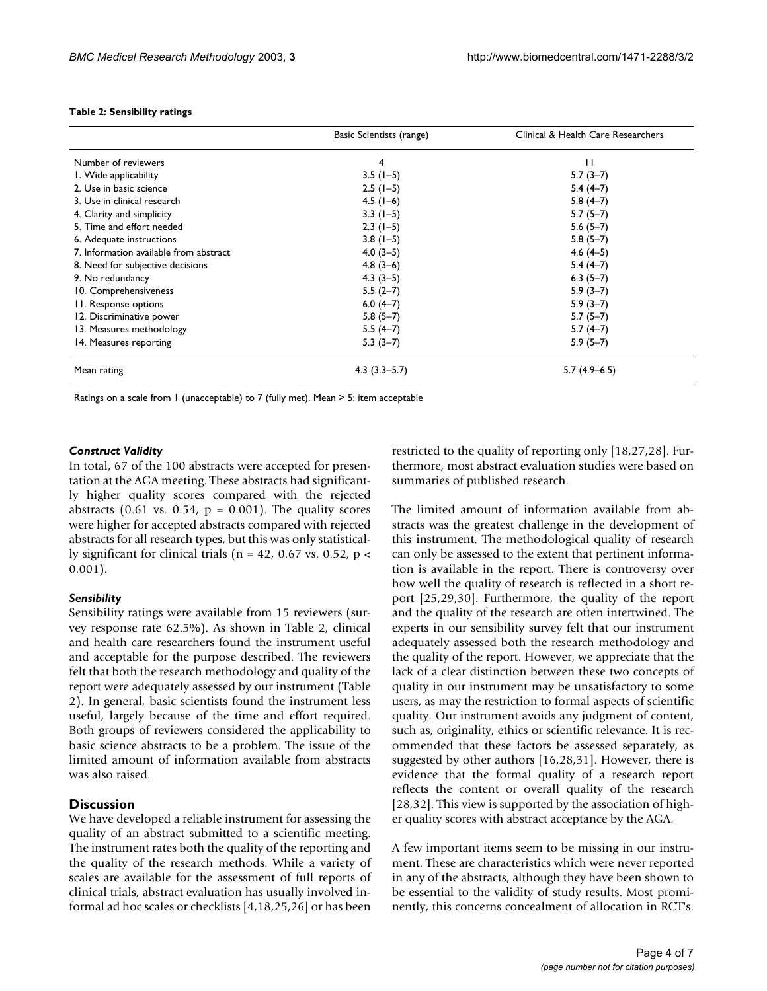#### <span id="page-3-0"></span>**Table 2: Sensibility ratings**

|                                        | Basic Scientists (range) | Clinical & Health Care Researchers |
|----------------------------------------|--------------------------|------------------------------------|
| Number of reviewers                    | 4                        | н                                  |
| I. Wide applicability                  | $3.5(1-5)$               | $5.7(3-7)$                         |
| 2. Use in basic science                | $2.5(1-5)$               | $5.4(4-7)$                         |
| 3. Use in clinical research            | $4.5(1-6)$               | $5.8(4-7)$                         |
| 4. Clarity and simplicity              | $3.3(1-5)$               | $5.7(5-7)$                         |
| 5. Time and effort needed              | $2.3(1-5)$               | $5.6(5-7)$                         |
| 6. Adequate instructions               | $3.8(1-5)$               | $5.8(5-7)$                         |
| 7. Information available from abstract | $4.0(3-5)$               | $4.6(4-5)$                         |
| 8. Need for subjective decisions       | $4.8(3-6)$               | $5.4(4-7)$                         |
| 9. No redundancy                       | $4.3(3-5)$               | $6.3(5-7)$                         |
| 10. Comprehensiveness                  | $5.5(2-7)$               | $5.9(3-7)$                         |
| 11. Response options                   | $6.0(4-7)$               | $5.9(3-7)$                         |
| 12. Discriminative power               | $5.8(5-7)$               | $5.7(5-7)$                         |
| 13. Measures methodology               | $5.5(4-7)$               | $5.7(4-7)$                         |
| 14. Measures reporting                 | $5.3(3-7)$               | $5.9(5-7)$                         |
| Mean rating                            | $4.3(3.3-5.7)$           | $5.7(4.9-6.5)$                     |

Ratings on a scale from 1 (unacceptable) to 7 (fully met). Mean > 5: item acceptable

#### *Construct Validity*

In total, 67 of the 100 abstracts were accepted for presentation at the AGA meeting. These abstracts had significantly higher quality scores compared with the rejected abstracts (0.61 vs. 0.54,  $p = 0.001$ ). The quality scores were higher for accepted abstracts compared with rejected abstracts for all research types, but this was only statistically significant for clinical trials ( $n = 42$ , 0.67 vs. 0.52,  $p <$ 0.001).

#### *Sensibility*

Sensibility ratings were available from 15 reviewers (survey response rate 62.5%). As shown in Table [2,](#page-3-0) clinical and health care researchers found the instrument useful and acceptable for the purpose described. The reviewers felt that both the research methodology and quality of the report were adequately assessed by our instrument (Table [2\)](#page-3-0). In general, basic scientists found the instrument less useful, largely because of the time and effort required. Both groups of reviewers considered the applicability to basic science abstracts to be a problem. The issue of the limited amount of information available from abstracts was also raised.

#### **Discussion**

We have developed a reliable instrument for assessing the quality of an abstract submitted to a scientific meeting. The instrument rates both the quality of the reporting and the quality of the research methods. While a variety of scales are available for the assessment of full reports of clinical trials, abstract evaluation has usually involved informal ad hoc scales or checklists [4,18,25,26] or has been

restricted to the quality of reporting only [18,27,28]. Furthermore, most abstract evaluation studies were based on summaries of published research.

The limited amount of information available from abstracts was the greatest challenge in the development of this instrument. The methodological quality of research can only be assessed to the extent that pertinent information is available in the report. There is controversy over how well the quality of research is reflected in a short report [25,29,30]. Furthermore, the quality of the report and the quality of the research are often intertwined. The experts in our sensibility survey felt that our instrument adequately assessed both the research methodology and the quality of the report. However, we appreciate that the lack of a clear distinction between these two concepts of quality in our instrument may be unsatisfactory to some users, as may the restriction to formal aspects of scientific quality. Our instrument avoids any judgment of content, such as, originality, ethics or scientific relevance. It is recommended that these factors be assessed separately, as suggested by other authors [16,28,31]. However, there is evidence that the formal quality of a research report reflects the content or overall quality of the research [28,32]. This view is supported by the association of higher quality scores with abstract acceptance by the AGA.

A few important items seem to be missing in our instrument. These are characteristics which were never reported in any of the abstracts, although they have been shown to be essential to the validity of study results. Most prominently, this concerns concealment of allocation in RCT's.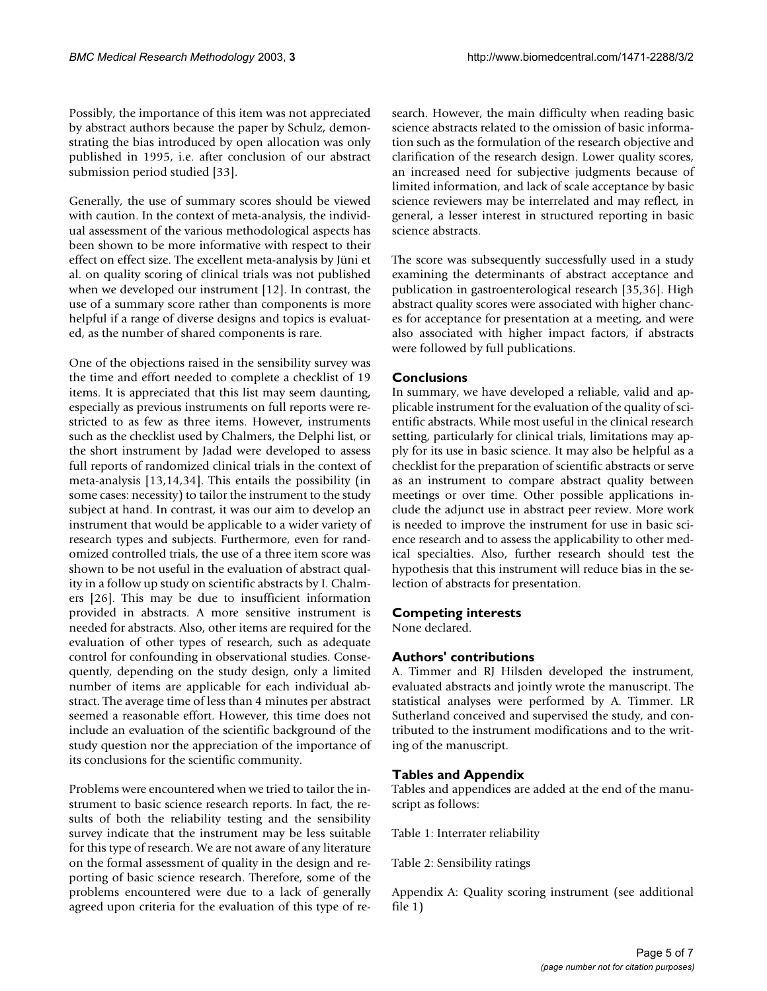Possibly, the importance of this item was not appreciated by abstract authors because the paper by Schulz, demonstrating the bias introduced by open allocation was only published in 1995, i.e. after conclusion of our abstract submission period studied [33].

Generally, the use of summary scores should be viewed with caution. In the context of meta-analysis, the individual assessment of the various methodological aspects has been shown to be more informative with respect to their effect on effect size. The excellent meta-analysis by Jüni et al. on quality scoring of clinical trials was not published when we developed our instrument [12]. In contrast, the use of a summary score rather than components is more helpful if a range of diverse designs and topics is evaluated, as the number of shared components is rare.

One of the objections raised in the sensibility survey was the time and effort needed to complete a checklist of 19 items. It is appreciated that this list may seem daunting, especially as previous instruments on full reports were restricted to as few as three items. However, instruments such as the checklist used by Chalmers, the Delphi list, or the short instrument by Jadad were developed to assess full reports of randomized clinical trials in the context of meta-analysis [13,14,34]. This entails the possibility (in some cases: necessity) to tailor the instrument to the study subject at hand. In contrast, it was our aim to develop an instrument that would be applicable to a wider variety of research types and subjects. Furthermore, even for randomized controlled trials, the use of a three item score was shown to be not useful in the evaluation of abstract quality in a follow up study on scientific abstracts by I. Chalmers [26]. This may be due to insufficient information provided in abstracts. A more sensitive instrument is needed for abstracts. Also, other items are required for the evaluation of other types of research, such as adequate control for confounding in observational studies. Consequently, depending on the study design, only a limited number of items are applicable for each individual abstract. The average time of less than 4 minutes per abstract seemed a reasonable effort. However, this time does not include an evaluation of the scientific background of the study question nor the appreciation of the importance of its conclusions for the scientific community.

Problems were encountered when we tried to tailor the instrument to basic science research reports. In fact, the results of both the reliability testing and the sensibility survey indicate that the instrument may be less suitable for this type of research. We are not aware of any literature on the formal assessment of quality in the design and reporting of basic science research. Therefore, some of the problems encountered were due to a lack of generally agreed upon criteria for the evaluation of this type of research. However, the main difficulty when reading basic science abstracts related to the omission of basic information such as the formulation of the research objective and clarification of the research design. Lower quality scores, an increased need for subjective judgments because of limited information, and lack of scale acceptance by basic science reviewers may be interrelated and may reflect, in general, a lesser interest in structured reporting in basic science abstracts.

The score was subsequently successfully used in a study examining the determinants of abstract acceptance and publication in gastroenterological research [35,36]. High abstract quality scores were associated with higher chances for acceptance for presentation at a meeting, and were also associated with higher impact factors, if abstracts were followed by full publications.

# **Conclusions**

In summary, we have developed a reliable, valid and applicable instrument for the evaluation of the quality of scientific abstracts. While most useful in the clinical research setting, particularly for clinical trials, limitations may apply for its use in basic science. It may also be helpful as a checklist for the preparation of scientific abstracts or serve as an instrument to compare abstract quality between meetings or over time. Other possible applications include the adjunct use in abstract peer review. More work is needed to improve the instrument for use in basic science research and to assess the applicability to other medical specialties. Also, further research should test the hypothesis that this instrument will reduce bias in the selection of abstracts for presentation.

## **Competing interests**

None declared.

# **Authors' contributions**

A. Timmer and RJ Hilsden developed the instrument, evaluated abstracts and jointly wrote the manuscript. The statistical analyses were performed by A. Timmer. LR Sutherland conceived and supervised the study, and contributed to the instrument modifications and to the writing of the manuscript.

# **Tables and Appendix**

Tables and appendices are added at the end of the manuscript as follows:

Table [1:](#page-2-0) Interrater reliability

Table [2:](#page-3-0) Sensibility ratings

Appendix A: Quality scoring instrument (see additional file 1)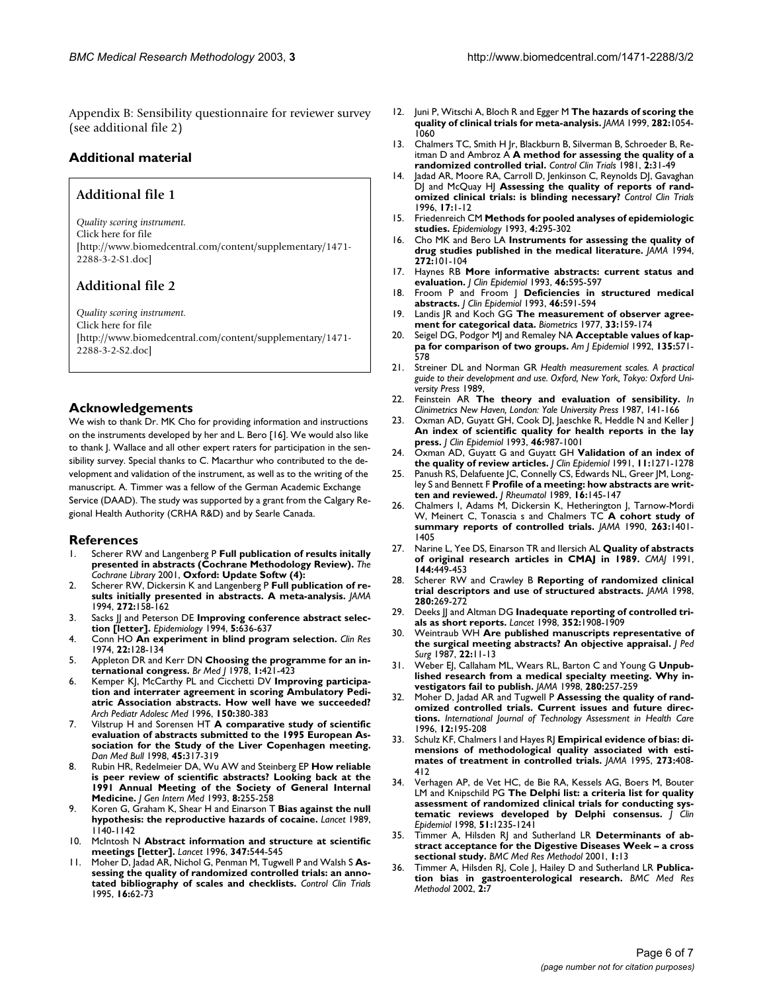Appendix B: Sensibility questionnaire for reviewer survey (see additional file 2)

### **Additional material**

#### **Additional file 1**

*Quality scoring instrument.* Click here for file [\[http://www.biomedcentral.com/content/supplementary/1471-](http://www.biomedcentral.com/content/supplementary/1471-2288-3-2-S1.doc) 2288-3-2-S1.doc]

# **Additional file 2**

*Quality scoring instrument.* Click here for file [\[http://www.biomedcentral.com/content/supplementary/1471-](http://www.biomedcentral.com/content/supplementary/1471-2288-3-2-S2.doc) 2288-3-2-S2.doc]

#### **Acknowledgements**

We wish to thank Dr. MK Cho for providing information and instructions on the instruments developed by her and L. Bero [16]. We would also like to thank J. Wallace and all other expert raters for participation in the sensibility survey. Special thanks to C. Macarthur who contributed to the development and validation of the instrument, as well as to the writing of the manuscript. A. Timmer was a fellow of the German Academic Exchange Service (DAAD). The study was supported by a grant from the Calgary Regional Health Authority (CRHA R&D) and by Searle Canada.

#### **References**

- 1. Scherer RW and Langenberg P **Full publication of results initally presented in abstracts (Cochrane Methodology Review).** *The Cochrane Library* 2001, **Oxford: Update Softw (4):**
- Scherer RW, Dickersin K and Langenberg P [Full publication of re](http://www.ncbi.nlm.nih.gov/entrez/query.fcgi?cmd=Retrieve&db=PubMed&dopt=Abstract&list_uids=8015133)**[sults initially presented in abstracts. A meta-analysis.](http://www.ncbi.nlm.nih.gov/entrez/query.fcgi?cmd=Retrieve&db=PubMed&dopt=Abstract&list_uids=8015133)** *JAMA* 1994, **272:**158-162
- 3. Sacks JJ and Peterson DE **[Improving conference abstract selec](http://www.ncbi.nlm.nih.gov/entrez/query.fcgi?cmd=Retrieve&db=PubMed&dopt=Abstract&list_uids=7841246)[tion \[letter\].](http://www.ncbi.nlm.nih.gov/entrez/query.fcgi?cmd=Retrieve&db=PubMed&dopt=Abstract&list_uids=7841246)** *Epidemiology* 1994, **5:**636-637
- 4. Conn HO **An experiment in blind program selection.** *Clin Res* 1974, **22:**128-134
- 5. Appleton DR and Kerr DN **[Choosing the programme for an in](http://www.ncbi.nlm.nih.gov/entrez/query.fcgi?cmd=Retrieve&db=PubMed&dopt=Abstract&list_uids=624040)[ternational congress.](http://www.ncbi.nlm.nih.gov/entrez/query.fcgi?cmd=Retrieve&db=PubMed&dopt=Abstract&list_uids=624040)** *Br Med J* 1978, **1:**421-423
- 6. Kemper KJ, McCarthy PL and Cicchetti DV **[Improving participa](http://www.ncbi.nlm.nih.gov/entrez/query.fcgi?cmd=Retrieve&db=PubMed&dopt=Abstract&list_uids=8634732)tion and interrater agreement in scoring Ambulatory Pedi[atric Association abstracts. How well have we succeeded?](http://www.ncbi.nlm.nih.gov/entrez/query.fcgi?cmd=Retrieve&db=PubMed&dopt=Abstract&list_uids=8634732)** *Arch Pediatr Adolesc Med* 1996, **150:**380-383
- 7. Vilstrup H and Sorensen HT **[A comparative study of scientific](http://www.ncbi.nlm.nih.gov/entrez/query.fcgi?cmd=Retrieve&db=PubMed&dopt=Abstract&list_uids=9675543) evaluation of abstracts submitted to the 1995 European As[sociation for the Study of the Liver Copenhagen meeting.](http://www.ncbi.nlm.nih.gov/entrez/query.fcgi?cmd=Retrieve&db=PubMed&dopt=Abstract&list_uids=9675543)** *Dan Med Bull* 1998, **45:**317-319
- 8. Rubin HR, Redelmeier DA, Wu AW and Steinberg EP **[How reliable](http://www.ncbi.nlm.nih.gov/entrez/query.fcgi?cmd=Retrieve&db=PubMed&dopt=Abstract&list_uids=8505684) is peer review of scientific abstracts? Looking back at the [1991 Annual Meeting of the Society of General Internal](http://www.ncbi.nlm.nih.gov/entrez/query.fcgi?cmd=Retrieve&db=PubMed&dopt=Abstract&list_uids=8505684) [Medicine.](http://www.ncbi.nlm.nih.gov/entrez/query.fcgi?cmd=Retrieve&db=PubMed&dopt=Abstract&list_uids=8505684)** *J Gen Intern Med* 1993, **8:**255-258
- 9. Koren G, Graham K, Shear H and Einarson T **[Bias against the null](http://www.ncbi.nlm.nih.gov/entrez/query.fcgi?cmd=Retrieve&db=PubMed&dopt=Abstract&list_uids=2566082) [hypothesis: the reproductive hazards of cocaine.](http://www.ncbi.nlm.nih.gov/entrez/query.fcgi?cmd=Retrieve&db=PubMed&dopt=Abstract&list_uids=2566082)** *Lancet* 1989, 1140-1142
- 10. McIntosh N **[Abstract information and structure at scientific](http://www.ncbi.nlm.nih.gov/entrez/query.fcgi?cmd=Retrieve&db=PubMed&dopt=Abstract&list_uids=8596292) [meetings \[letter\].](http://www.ncbi.nlm.nih.gov/entrez/query.fcgi?cmd=Retrieve&db=PubMed&dopt=Abstract&list_uids=8596292)** *Lancet* 1996, **347:**544-545
- 11. Moher D, Jadad AR, Nichol G, Penman M, Tugwell P and Walsh S **[As](http://www.ncbi.nlm.nih.gov/entrez/query.fcgi?cmd=Retrieve&db=PubMed&dopt=Abstract&list_uids=7743790)[sessing the quality of randomized controlled trials: an anno](http://www.ncbi.nlm.nih.gov/entrez/query.fcgi?cmd=Retrieve&db=PubMed&dopt=Abstract&list_uids=7743790)[tated bibliography of scales and checklists.](http://www.ncbi.nlm.nih.gov/entrez/query.fcgi?cmd=Retrieve&db=PubMed&dopt=Abstract&list_uids=7743790)** *Control Clin Trials* 1995, **16:**62-73
- 12. Juni P, Witschi A, Bloch R and Egger M **[The hazards of scoring the](http://www.ncbi.nlm.nih.gov/entrez/query.fcgi?cmd=Retrieve&db=PubMed&dopt=Abstract&list_uids=10493204) [quality of clinical trials for meta-analysis.](http://www.ncbi.nlm.nih.gov/entrez/query.fcgi?cmd=Retrieve&db=PubMed&dopt=Abstract&list_uids=10493204)** *JAMA* 1999, **282:**1054- 1060
- 13. Chalmers TC, Smith H Jr, Blackburn B, Silverman B, Schroeder B, Reitman D and Ambroz A **[A method for assessing the quality of a](http://www.ncbi.nlm.nih.gov/entrez/query.fcgi?cmd=Retrieve&db=PubMed&dopt=Abstract&list_uids=7261638) [randomized controlled trial.](http://www.ncbi.nlm.nih.gov/entrez/query.fcgi?cmd=Retrieve&db=PubMed&dopt=Abstract&list_uids=7261638)** *Control Clin Trials* 1981, **2:**31-49
- 14. Jadad AR, Moore RA, Carroll D, Jenkinson C, Reynolds DJ, Gavaghan DJ and McQuay HJ **[Assessing the quality of reports of rand](http://www.ncbi.nlm.nih.gov/entrez/query.fcgi?cmd=Retrieve&db=PubMed&dopt=Abstract&list_uids=8721797)[omized clinical trials: is blinding necessary?](http://www.ncbi.nlm.nih.gov/entrez/query.fcgi?cmd=Retrieve&db=PubMed&dopt=Abstract&list_uids=8721797)** *Control Clin Trials* 1996, **17:**1-12
- 15. Friedenreich CM **[Methods for pooled analyses of epidemiologic](http://www.ncbi.nlm.nih.gov/entrez/query.fcgi?cmd=Retrieve&db=PubMed&dopt=Abstract&list_uids=8347739) [studies.](http://www.ncbi.nlm.nih.gov/entrez/query.fcgi?cmd=Retrieve&db=PubMed&dopt=Abstract&list_uids=8347739)** *Epidemiology* 1993, **4:**295-302
- 16. Cho MK and Bero LA **[Instruments for assessing the quality of](http://www.ncbi.nlm.nih.gov/entrez/query.fcgi?cmd=Retrieve&db=PubMed&dopt=Abstract&list_uids=8015115) [drug studies published in the medical literature.](http://www.ncbi.nlm.nih.gov/entrez/query.fcgi?cmd=Retrieve&db=PubMed&dopt=Abstract&list_uids=8015115)** *JAMA* 1994, **272:**101-104
- 17. Haynes RB **[More informative abstracts: current status and](http://www.ncbi.nlm.nih.gov/entrez/query.fcgi?cmd=Retrieve&db=PubMed&dopt=Abstract&list_uids=8326343) [evaluation.](http://www.ncbi.nlm.nih.gov/entrez/query.fcgi?cmd=Retrieve&db=PubMed&dopt=Abstract&list_uids=8326343)** *J Clin Epidemiol* 1993, **46:**595-597
- 18. Froom P and Froom J **[Deficiencies in structured medical](http://www.ncbi.nlm.nih.gov/entrez/query.fcgi?cmd=Retrieve&db=PubMed&dopt=Abstract&list_uids=8326342) [abstracts.](http://www.ncbi.nlm.nih.gov/entrez/query.fcgi?cmd=Retrieve&db=PubMed&dopt=Abstract&list_uids=8326342)** *J Clin Epidemiol* 1993, **46:**591-594
- 19. Landis JR and Koch GG **[The measurement of observer agree](http://www.ncbi.nlm.nih.gov/entrez/query.fcgi?cmd=Retrieve&db=PubMed&dopt=Abstract&list_uids=843571)[ment for categorical data.](http://www.ncbi.nlm.nih.gov/entrez/query.fcgi?cmd=Retrieve&db=PubMed&dopt=Abstract&list_uids=843571)** *Biometrics* 1977, **33:**159-174
- 20. Seigel DG, Podgor MJ and Remaley NA **[Acceptable values of kap](http://www.ncbi.nlm.nih.gov/entrez/query.fcgi?cmd=Retrieve&db=PubMed&dopt=Abstract&list_uids=1570823)[pa for comparison of two groups.](http://www.ncbi.nlm.nih.gov/entrez/query.fcgi?cmd=Retrieve&db=PubMed&dopt=Abstract&list_uids=1570823)** *Am J Epidemiol* 1992, **135:**571- 578
- 21. Streiner DL and Norman GR *Health measurement scales. A practical guide to their development and use. Oxford, New York, Tokyo: Oxford University Press* 1989,
- 22. Feinstein AR **The theory and evaluation of sensibility.** *In Clinimetrics New Haven, London: Yale University Press* 1987, 141-166
- 23. Oxman AD, Guyatt GH, Cook DJ, Jaeschke R, Heddle N and Keller J **[An index of scientific quality for health reports in the lay](http://www.ncbi.nlm.nih.gov/entrez/query.fcgi?cmd=Retrieve&db=PubMed&dopt=Abstract&list_uids=8263584) [press.](http://www.ncbi.nlm.nih.gov/entrez/query.fcgi?cmd=Retrieve&db=PubMed&dopt=Abstract&list_uids=8263584)** *J Clin Epidemiol* 1993, **46:**987-1001
- 24. Oxman AD, Guyatt G and Guyatt GH **Validation of an index of the quality of review articles.** *J Clin Epidemiol* 1991, **11:**1271-1278
- 25. Panush RS, Delafuente JC, Connelly CS, Edwards NL, Greer JM, Longley S and Bennett F **[Profile of a meeting: how abstracts are writ](http://www.ncbi.nlm.nih.gov/entrez/query.fcgi?cmd=Retrieve&db=PubMed&dopt=Abstract&list_uids=2746562)[ten and reviewed.](http://www.ncbi.nlm.nih.gov/entrez/query.fcgi?cmd=Retrieve&db=PubMed&dopt=Abstract&list_uids=2746562)** *J Rheumatol* 1989, **16:**145-147
- 26. Chalmers I, Adams M, Dickersin K, Hetherington J, Tarnow-Mordi W, Meinert C, Tonascia s and Chalmers TC **[A cohort study of](http://www.ncbi.nlm.nih.gov/entrez/query.fcgi?cmd=Retrieve&db=PubMed&dopt=Abstract&list_uids=2304219) [summary reports of controlled trials.](http://www.ncbi.nlm.nih.gov/entrez/query.fcgi?cmd=Retrieve&db=PubMed&dopt=Abstract&list_uids=2304219)** *JAMA* 1990, **263:**1401- 1405
- 27. Narine L, Yee DS, Einarson TR and Ilersich AL **[Quality of abstracts](http://www.ncbi.nlm.nih.gov/entrez/query.fcgi?cmd=Retrieve&db=PubMed&dopt=Abstract&list_uids=1993292) [of original research articles in CMAJ in 1989.](http://www.ncbi.nlm.nih.gov/entrez/query.fcgi?cmd=Retrieve&db=PubMed&dopt=Abstract&list_uids=1993292)** *CMAJ* 1991, **144:**449-453
- 28. Scherer RW and Crawley B **[Reporting of randomized clinical](http://www.ncbi.nlm.nih.gov/entrez/query.fcgi?cmd=Retrieve&db=PubMed&dopt=Abstract&list_uids=9676678) [trial descriptors and use of structured abstracts.](http://www.ncbi.nlm.nih.gov/entrez/query.fcgi?cmd=Retrieve&db=PubMed&dopt=Abstract&list_uids=9676678)** *JAMA* 1998, **280:**269-272
- 29. Deeks JJ and Altman DG **[Inadequate reporting of controlled tri](http://www.ncbi.nlm.nih.gov/entrez/query.fcgi?cmd=Retrieve&db=PubMed&dopt=Abstract&list_uids=9863796)[als as short reports.](http://www.ncbi.nlm.nih.gov/entrez/query.fcgi?cmd=Retrieve&db=PubMed&dopt=Abstract&list_uids=9863796)** *Lancet* 1998, **352:**1908-1909
- 30. Weintraub WH **Are published manuscripts representative of the surgical meeting abstracts? An objective appraisal.** *J Ped Surg* 1987, **22:**11-13
- 31. Weber EJ, Callaham ML, Wears RL, Barton C and Young G **[Unpub](http://www.ncbi.nlm.nih.gov/entrez/query.fcgi?cmd=Retrieve&db=PubMed&dopt=Abstract&list_uids=9676674)[lished research from a medical specialty meeting. Why in](http://www.ncbi.nlm.nih.gov/entrez/query.fcgi?cmd=Retrieve&db=PubMed&dopt=Abstract&list_uids=9676674)[vestigators fail to publish.](http://www.ncbi.nlm.nih.gov/entrez/query.fcgi?cmd=Retrieve&db=PubMed&dopt=Abstract&list_uids=9676674)** *JAMA* 1998, **280:**257-259
- 32. Moher D, Jadad AR and Tugwell P **[Assessing the quality of rand](http://www.ncbi.nlm.nih.gov/entrez/query.fcgi?cmd=Retrieve&db=PubMed&dopt=Abstract&list_uids=8707495)[omized controlled trials. Current issues and future direc](http://www.ncbi.nlm.nih.gov/entrez/query.fcgi?cmd=Retrieve&db=PubMed&dopt=Abstract&list_uids=8707495)[tions.](http://www.ncbi.nlm.nih.gov/entrez/query.fcgi?cmd=Retrieve&db=PubMed&dopt=Abstract&list_uids=8707495)** *International Journal of Technology Assessment in Health Care* 1996, **12:**195-208
- 33. Schulz KF, Chalmers I and Hayes RJ **[Empirical evidence of bias: di](http://www.ncbi.nlm.nih.gov/entrez/query.fcgi?cmd=Retrieve&db=PubMed&dopt=Abstract&list_uids=7823387)[mensions of methodological quality associated with esti](http://www.ncbi.nlm.nih.gov/entrez/query.fcgi?cmd=Retrieve&db=PubMed&dopt=Abstract&list_uids=7823387)[mates of treatment in controlled trials.](http://www.ncbi.nlm.nih.gov/entrez/query.fcgi?cmd=Retrieve&db=PubMed&dopt=Abstract&list_uids=7823387)** *JAMA* 1995, **273:**408- 412
- 34. Verhagen AP, de Vet HC, de Bie RA, Kessels AG, Boers M, Bouter LM and Knipschild PG **[The Delphi list: a criteria list for quality](http://www.ncbi.nlm.nih.gov/entrez/query.fcgi?cmd=Retrieve&db=PubMed&dopt=Abstract&list_uids=10086815) [assessment of randomized clinical trials for conducting sys](http://www.ncbi.nlm.nih.gov/entrez/query.fcgi?cmd=Retrieve&db=PubMed&dopt=Abstract&list_uids=10086815)[tematic reviews developed by Delphi consensus.](http://www.ncbi.nlm.nih.gov/entrez/query.fcgi?cmd=Retrieve&db=PubMed&dopt=Abstract&list_uids=10086815)** *J Clin Epidemiol* 1998, **51:**1235-1241
- 35. Timmer A, Hilsden RJ and Sutherland LR **[Determinants of ab](http://www.ncbi.nlm.nih.gov/entrez/query.fcgi?cmd=Retrieve&db=PubMed&dopt=Abstract&list_uids=64644)[stract acceptance for the Digestive Diseases Week – a cross](http://www.ncbi.nlm.nih.gov/entrez/query.fcgi?cmd=Retrieve&db=PubMed&dopt=Abstract&list_uids=64644) [sectional study.](http://www.ncbi.nlm.nih.gov/entrez/query.fcgi?cmd=Retrieve&db=PubMed&dopt=Abstract&list_uids=64644)** *BMC Med Res Methodol* 2001, **1:**13
- 36. Timmer A, Hilsden RJ, Cole J, Hailey D and Sutherland LR **[Publica](http://www.ncbi.nlm.nih.gov/entrez/query.fcgi?cmd=Retrieve&db=PubMed&dopt=Abstract&list_uids=115863)[tion bias in gastroenterological research.](http://www.ncbi.nlm.nih.gov/entrez/query.fcgi?cmd=Retrieve&db=PubMed&dopt=Abstract&list_uids=115863)** *BMC Med Res Methodol* 2002, **2:**7